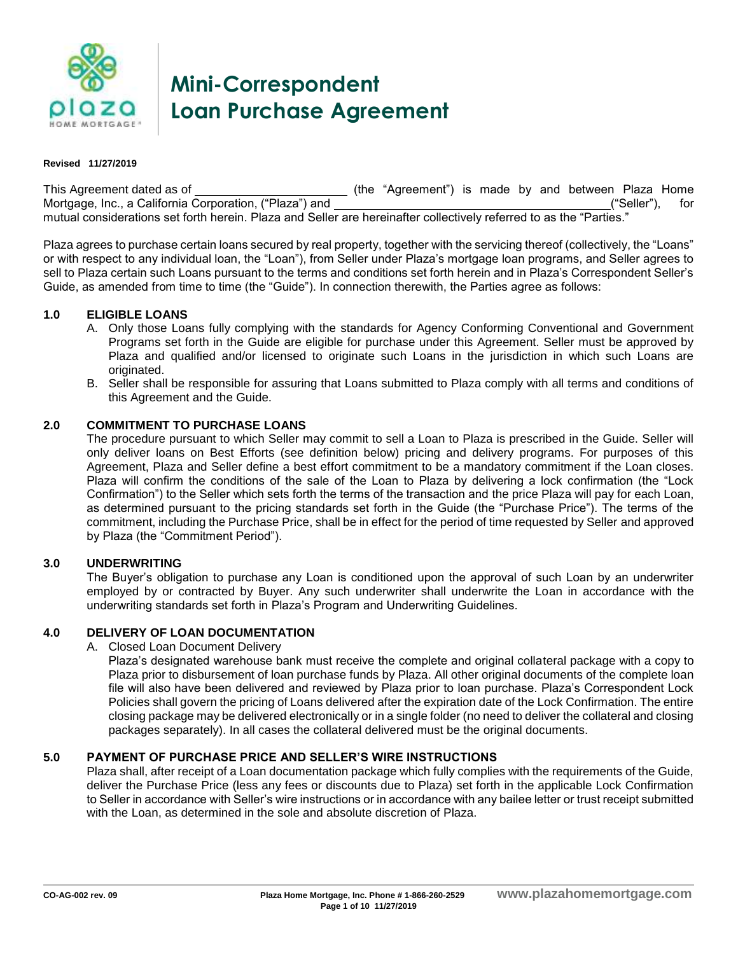

# **Mini-Correspondent Loan Purchase Agreement**

#### **Revised 11/27/2019**

This Agreement dated as of (the "Agreement") is made by and between Plaza Home Mortgage, Inc., a California Corporation, ("Plaza") and ("Nortgage, Inc., a California Corporation, ("Plaza") and mutual considerations set forth herein. Plaza and Seller are hereinafter collectively referred to as the "Parties."

Plaza agrees to purchase certain loans secured by real property, together with the servicing thereof (collectively, the "Loans" or with respect to any individual loan, the "Loan"), from Seller under Plaza's mortgage loan programs, and Seller agrees to sell to Plaza certain such Loans pursuant to the terms and conditions set forth herein and in Plaza's Correspondent Seller's Guide, as amended from time to time (the "Guide"). In connection therewith, the Parties agree as follows:

#### **1.0 ELIGIBLE LOANS**

- A. Only those Loans fully complying with the standards for Agency Conforming Conventional and Government Programs set forth in the Guide are eligible for purchase under this Agreement. Seller must be approved by Plaza and qualified and/or licensed to originate such Loans in the jurisdiction in which such Loans are originated.
- B. Seller shall be responsible for assuring that Loans submitted to Plaza comply with all terms and conditions of this Agreement and the Guide.

#### **2.0 COMMITMENT TO PURCHASE LOANS**

The procedure pursuant to which Seller may commit to sell a Loan to Plaza is prescribed in the Guide. Seller will only deliver loans on Best Efforts (see definition below) pricing and delivery programs. For purposes of this Agreement, Plaza and Seller define a best effort commitment to be a mandatory commitment if the Loan closes. Plaza will confirm the conditions of the sale of the Loan to Plaza by delivering a lock confirmation (the "Lock Confirmation") to the Seller which sets forth the terms of the transaction and the price Plaza will pay for each Loan, as determined pursuant to the pricing standards set forth in the Guide (the "Purchase Price"). The terms of the commitment, including the Purchase Price, shall be in effect for the period of time requested by Seller and approved by Plaza (the "Commitment Period").

#### **3.0 UNDERWRITING**

The Buyer's obligation to purchase any Loan is conditioned upon the approval of such Loan by an underwriter employed by or contracted by Buyer. Any such underwriter shall underwrite the Loan in accordance with the underwriting standards set forth in Plaza's Program and Underwriting Guidelines.

#### **4.0 DELIVERY OF LOAN DOCUMENTATION**

A. Closed Loan Document Delivery

Plaza's designated warehouse bank must receive the complete and original collateral package with a copy to Plaza prior to disbursement of loan purchase funds by Plaza. All other original documents of the complete loan file will also have been delivered and reviewed by Plaza prior to loan purchase. Plaza's Correspondent Lock Policies shall govern the pricing of Loans delivered after the expiration date of the Lock Confirmation. The entire closing package may be delivered electronically or in a single folder (no need to deliver the collateral and closing packages separately). In all cases the collateral delivered must be the original documents.

#### **5.0 PAYMENT OF PURCHASE PRICE AND SELLER'S WIRE INSTRUCTIONS**

Plaza shall, after receipt of a Loan documentation package which fully complies with the requirements of the Guide, deliver the Purchase Price (less any fees or discounts due to Plaza) set forth in the applicable Lock Confirmation to Seller in accordance with Seller's wire instructions or in accordance with any bailee letter or trust receipt submitted with the Loan, as determined in the sole and absolute discretion of Plaza.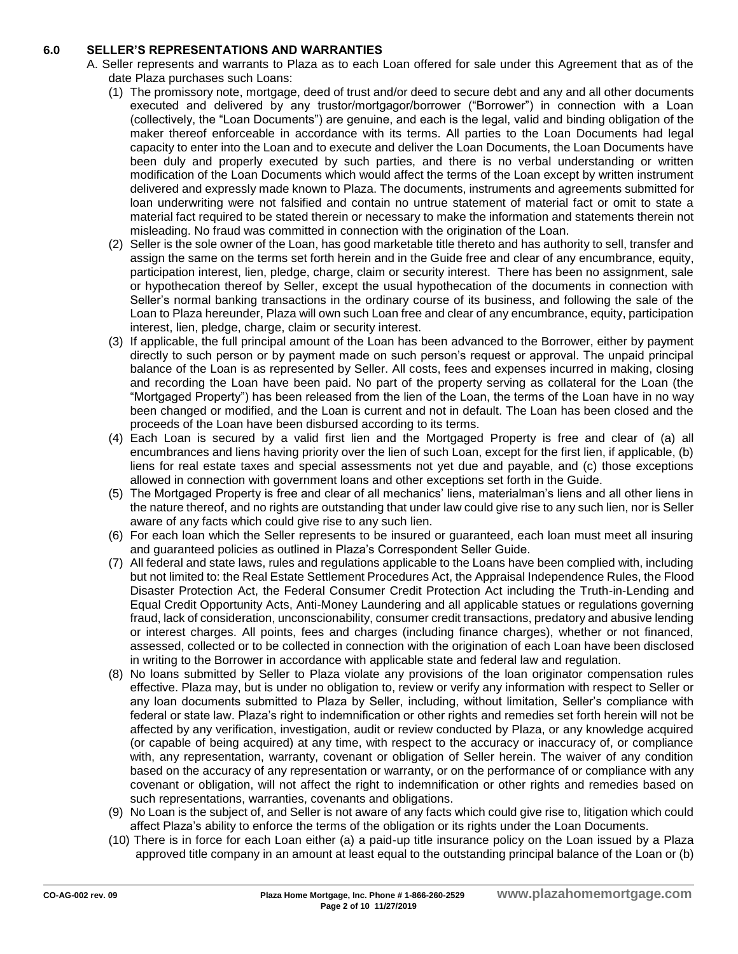#### **6.0 SELLER'S REPRESENTATIONS AND WARRANTIES**

- A. Seller represents and warrants to Plaza as to each Loan offered for sale under this Agreement that as of the date Plaza purchases such Loans:
	- (1) The promissory note, mortgage, deed of trust and/or deed to secure debt and any and all other documents executed and delivered by any trustor/mortgagor/borrower ("Borrower") in connection with a Loan (collectively, the "Loan Documents") are genuine, and each is the legal, valid and binding obligation of the maker thereof enforceable in accordance with its terms. All parties to the Loan Documents had legal capacity to enter into the Loan and to execute and deliver the Loan Documents, the Loan Documents have been duly and properly executed by such parties, and there is no verbal understanding or written modification of the Loan Documents which would affect the terms of the Loan except by written instrument delivered and expressly made known to Plaza. The documents, instruments and agreements submitted for loan underwriting were not falsified and contain no untrue statement of material fact or omit to state a material fact required to be stated therein or necessary to make the information and statements therein not misleading. No fraud was committed in connection with the origination of the Loan.
	- (2) Seller is the sole owner of the Loan, has good marketable title thereto and has authority to sell, transfer and assign the same on the terms set forth herein and in the Guide free and clear of any encumbrance, equity, participation interest, lien, pledge, charge, claim or security interest. There has been no assignment, sale or hypothecation thereof by Seller, except the usual hypothecation of the documents in connection with Seller's normal banking transactions in the ordinary course of its business, and following the sale of the Loan to Plaza hereunder, Plaza will own such Loan free and clear of any encumbrance, equity, participation interest, lien, pledge, charge, claim or security interest.
	- (3) If applicable, the full principal amount of the Loan has been advanced to the Borrower, either by payment directly to such person or by payment made on such person's request or approval. The unpaid principal balance of the Loan is as represented by Seller. All costs, fees and expenses incurred in making, closing and recording the Loan have been paid. No part of the property serving as collateral for the Loan (the "Mortgaged Property") has been released from the lien of the Loan, the terms of the Loan have in no way been changed or modified, and the Loan is current and not in default. The Loan has been closed and the proceeds of the Loan have been disbursed according to its terms.
	- (4) Each Loan is secured by a valid first lien and the Mortgaged Property is free and clear of (a) all encumbrances and liens having priority over the lien of such Loan, except for the first lien, if applicable, (b) liens for real estate taxes and special assessments not yet due and payable, and (c) those exceptions allowed in connection with government loans and other exceptions set forth in the Guide.
	- (5) The Mortgaged Property is free and clear of all mechanics' liens, materialman's liens and all other liens in the nature thereof, and no rights are outstanding that under law could give rise to any such lien, nor is Seller aware of any facts which could give rise to any such lien.
	- (6) For each loan which the Seller represents to be insured or guaranteed, each loan must meet all insuring and guaranteed policies as outlined in Plaza's Correspondent Seller Guide.
	- (7) All federal and state laws, rules and regulations applicable to the Loans have been complied with, including but not limited to: the Real Estate Settlement Procedures Act, the Appraisal Independence Rules, the Flood Disaster Protection Act, the Federal Consumer Credit Protection Act including the Truth-in-Lending and Equal Credit Opportunity Acts, Anti-Money Laundering and all applicable statues or regulations governing fraud, lack of consideration, unconscionability, consumer credit transactions, predatory and abusive lending or interest charges. All points, fees and charges (including finance charges), whether or not financed, assessed, collected or to be collected in connection with the origination of each Loan have been disclosed in writing to the Borrower in accordance with applicable state and federal law and regulation.
	- (8) No loans submitted by Seller to Plaza violate any provisions of the loan originator compensation rules effective. Plaza may, but is under no obligation to, review or verify any information with respect to Seller or any loan documents submitted to Plaza by Seller, including, without limitation, Seller's compliance with federal or state law. Plaza's right to indemnification or other rights and remedies set forth herein will not be affected by any verification, investigation, audit or review conducted by Plaza, or any knowledge acquired (or capable of being acquired) at any time, with respect to the accuracy or inaccuracy of, or compliance with, any representation, warranty, covenant or obligation of Seller herein. The waiver of any condition based on the accuracy of any representation or warranty, or on the performance of or compliance with any covenant or obligation, will not affect the right to indemnification or other rights and remedies based on such representations, warranties, covenants and obligations.
	- (9) No Loan is the subject of, and Seller is not aware of any facts which could give rise to, litigation which could affect Plaza's ability to enforce the terms of the obligation or its rights under the Loan Documents.
	- (10) There is in force for each Loan either (a) a paid-up title insurance policy on the Loan issued by a Plaza approved title company in an amount at least equal to the outstanding principal balance of the Loan or (b)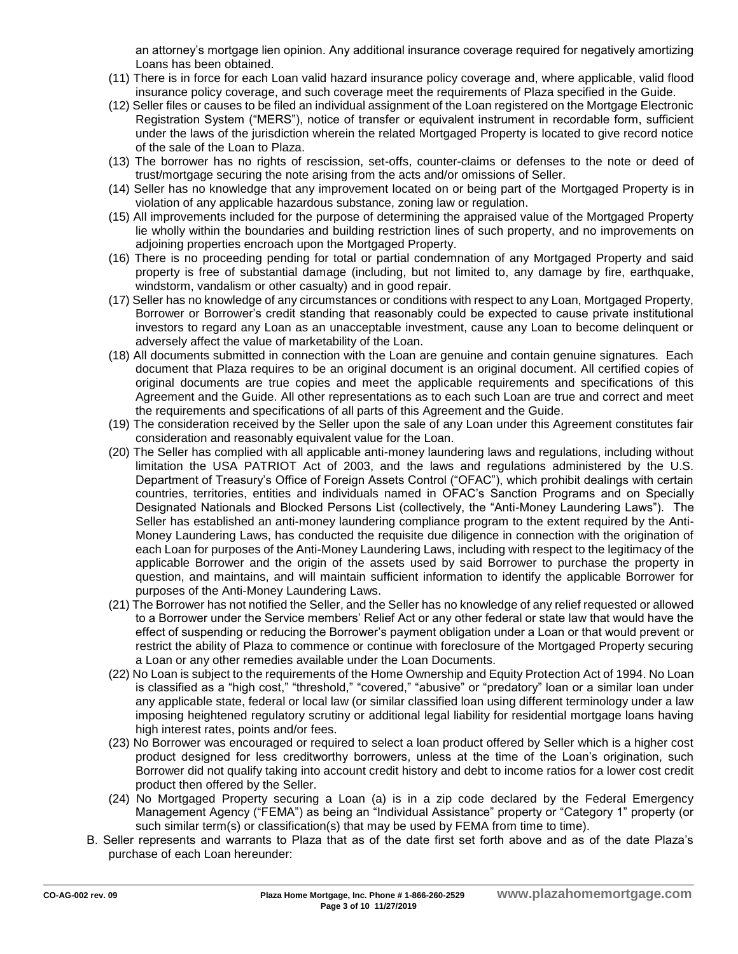an attorney's mortgage lien opinion. Any additional insurance coverage required for negatively amortizing Loans has been obtained.

- (11) There is in force for each Loan valid hazard insurance policy coverage and, where applicable, valid flood insurance policy coverage, and such coverage meet the requirements of Plaza specified in the Guide.
- (12) Seller files or causes to be filed an individual assignment of the Loan registered on the Mortgage Electronic Registration System ("MERS"), notice of transfer or equivalent instrument in recordable form, sufficient under the laws of the jurisdiction wherein the related Mortgaged Property is located to give record notice of the sale of the Loan to Plaza.
- (13) The borrower has no rights of rescission, set-offs, counter-claims or defenses to the note or deed of trust/mortgage securing the note arising from the acts and/or omissions of Seller.
- (14) Seller has no knowledge that any improvement located on or being part of the Mortgaged Property is in violation of any applicable hazardous substance, zoning law or regulation.
- (15) All improvements included for the purpose of determining the appraised value of the Mortgaged Property lie wholly within the boundaries and building restriction lines of such property, and no improvements on adjoining properties encroach upon the Mortgaged Property.
- (16) There is no proceeding pending for total or partial condemnation of any Mortgaged Property and said property is free of substantial damage (including, but not limited to, any damage by fire, earthquake, windstorm, vandalism or other casualty) and in good repair.
- (17) Seller has no knowledge of any circumstances or conditions with respect to any Loan, Mortgaged Property, Borrower or Borrower's credit standing that reasonably could be expected to cause private institutional investors to regard any Loan as an unacceptable investment, cause any Loan to become delinquent or adversely affect the value of marketability of the Loan.
- (18) All documents submitted in connection with the Loan are genuine and contain genuine signatures. Each document that Plaza requires to be an original document is an original document. All certified copies of original documents are true copies and meet the applicable requirements and specifications of this Agreement and the Guide. All other representations as to each such Loan are true and correct and meet the requirements and specifications of all parts of this Agreement and the Guide.
- (19) The consideration received by the Seller upon the sale of any Loan under this Agreement constitutes fair consideration and reasonably equivalent value for the Loan.
- (20) The Seller has complied with all applicable anti-money laundering laws and regulations, including without limitation the USA PATRIOT Act of 2003, and the laws and regulations administered by the U.S. Department of Treasury's Office of Foreign Assets Control ("OFAC"), which prohibit dealings with certain countries, territories, entities and individuals named in OFAC's Sanction Programs and on Specially Designated Nationals and Blocked Persons List (collectively, the "Anti-Money Laundering Laws"). The Seller has established an anti-money laundering compliance program to the extent required by the Anti-Money Laundering Laws, has conducted the requisite due diligence in connection with the origination of each Loan for purposes of the Anti-Money Laundering Laws, including with respect to the legitimacy of the applicable Borrower and the origin of the assets used by said Borrower to purchase the property in question, and maintains, and will maintain sufficient information to identify the applicable Borrower for purposes of the Anti-Money Laundering Laws.
- (21) The Borrower has not notified the Seller, and the Seller has no knowledge of any relief requested or allowed to a Borrower under the Service members' Relief Act or any other federal or state law that would have the effect of suspending or reducing the Borrower's payment obligation under a Loan or that would prevent or restrict the ability of Plaza to commence or continue with foreclosure of the Mortgaged Property securing a Loan or any other remedies available under the Loan Documents.
- (22) No Loan is subject to the requirements of the Home Ownership and Equity Protection Act of 1994. No Loan is classified as a "high cost," "threshold," "covered," "abusive" or "predatory" loan or a similar loan under any applicable state, federal or local law (or similar classified loan using different terminology under a law imposing heightened regulatory scrutiny or additional legal liability for residential mortgage loans having high interest rates, points and/or fees.
- (23) No Borrower was encouraged or required to select a loan product offered by Seller which is a higher cost product designed for less creditworthy borrowers, unless at the time of the Loan's origination, such Borrower did not qualify taking into account credit history and debt to income ratios for a lower cost credit product then offered by the Seller.
- (24) No Mortgaged Property securing a Loan (a) is in a zip code declared by the Federal Emergency Management Agency ("FEMA") as being an "Individual Assistance" property or "Category 1" property (or such similar term(s) or classification(s) that may be used by FEMA from time to time).
- B. Seller represents and warrants to Plaza that as of the date first set forth above and as of the date Plaza's purchase of each Loan hereunder: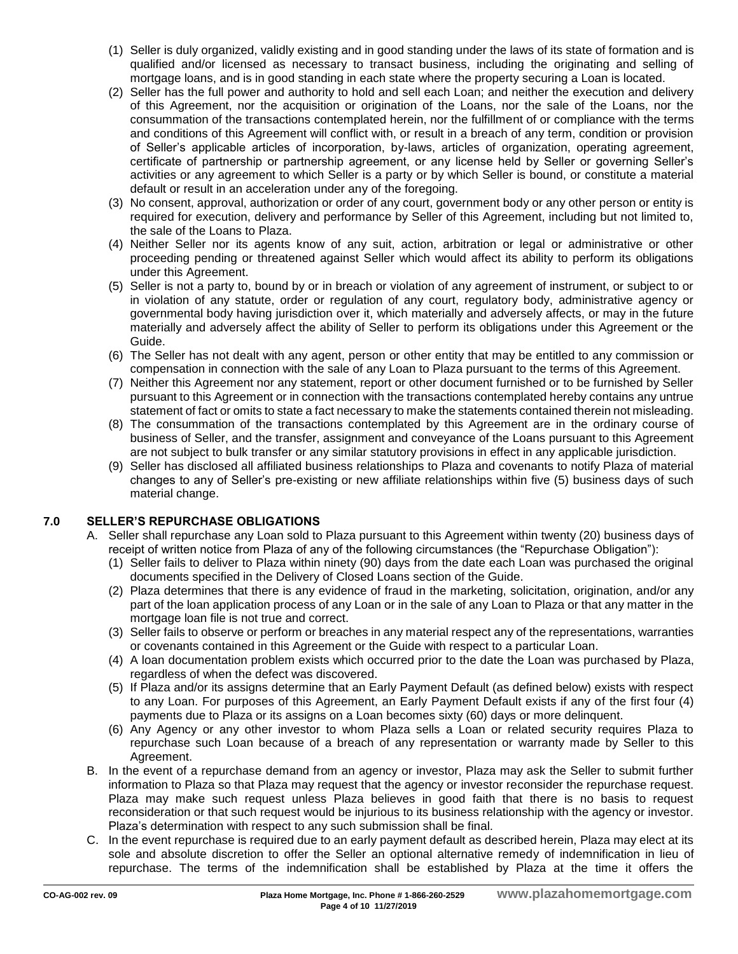- (1) Seller is duly organized, validly existing and in good standing under the laws of its state of formation and is qualified and/or licensed as necessary to transact business, including the originating and selling of mortgage loans, and is in good standing in each state where the property securing a Loan is located.
- (2) Seller has the full power and authority to hold and sell each Loan; and neither the execution and delivery of this Agreement, nor the acquisition or origination of the Loans, nor the sale of the Loans, nor the consummation of the transactions contemplated herein, nor the fulfillment of or compliance with the terms and conditions of this Agreement will conflict with, or result in a breach of any term, condition or provision of Seller's applicable articles of incorporation, by-laws, articles of organization, operating agreement, certificate of partnership or partnership agreement, or any license held by Seller or governing Seller's activities or any agreement to which Seller is a party or by which Seller is bound, or constitute a material default or result in an acceleration under any of the foregoing.
- (3) No consent, approval, authorization or order of any court, government body or any other person or entity is required for execution, delivery and performance by Seller of this Agreement, including but not limited to, the sale of the Loans to Plaza.
- (4) Neither Seller nor its agents know of any suit, action, arbitration or legal or administrative or other proceeding pending or threatened against Seller which would affect its ability to perform its obligations under this Agreement.
- (5) Seller is not a party to, bound by or in breach or violation of any agreement of instrument, or subject to or in violation of any statute, order or regulation of any court, regulatory body, administrative agency or governmental body having jurisdiction over it, which materially and adversely affects, or may in the future materially and adversely affect the ability of Seller to perform its obligations under this Agreement or the Guide.
- (6) The Seller has not dealt with any agent, person or other entity that may be entitled to any commission or compensation in connection with the sale of any Loan to Plaza pursuant to the terms of this Agreement.
- (7) Neither this Agreement nor any statement, report or other document furnished or to be furnished by Seller pursuant to this Agreement or in connection with the transactions contemplated hereby contains any untrue statement of fact or omits to state a fact necessary to make the statements contained therein not misleading.
- (8) The consummation of the transactions contemplated by this Agreement are in the ordinary course of business of Seller, and the transfer, assignment and conveyance of the Loans pursuant to this Agreement are not subject to bulk transfer or any similar statutory provisions in effect in any applicable jurisdiction.
- (9) Seller has disclosed all affiliated business relationships to Plaza and covenants to notify Plaza of material changes to any of Seller's pre-existing or new affiliate relationships within five (5) business days of such material change.

## **7.0 SELLER'S REPURCHASE OBLIGATIONS**

- A. Seller shall repurchase any Loan sold to Plaza pursuant to this Agreement within twenty (20) business days of receipt of written notice from Plaza of any of the following circumstances (the "Repurchase Obligation"):
	- (1) Seller fails to deliver to Plaza within ninety (90) days from the date each Loan was purchased the original documents specified in the Delivery of Closed Loans section of the Guide.
	- (2) Plaza determines that there is any evidence of fraud in the marketing, solicitation, origination, and/or any part of the loan application process of any Loan or in the sale of any Loan to Plaza or that any matter in the mortgage loan file is not true and correct.
	- (3) Seller fails to observe or perform or breaches in any material respect any of the representations, warranties or covenants contained in this Agreement or the Guide with respect to a particular Loan.
	- (4) A loan documentation problem exists which occurred prior to the date the Loan was purchased by Plaza, regardless of when the defect was discovered.
	- (5) If Plaza and/or its assigns determine that an Early Payment Default (as defined below) exists with respect to any Loan. For purposes of this Agreement, an Early Payment Default exists if any of the first four (4) payments due to Plaza or its assigns on a Loan becomes sixty (60) days or more delinquent.
	- (6) Any Agency or any other investor to whom Plaza sells a Loan or related security requires Plaza to repurchase such Loan because of a breach of any representation or warranty made by Seller to this Agreement.
- B. In the event of a repurchase demand from an agency or investor, Plaza may ask the Seller to submit further information to Plaza so that Plaza may request that the agency or investor reconsider the repurchase request. Plaza may make such request unless Plaza believes in good faith that there is no basis to request reconsideration or that such request would be injurious to its business relationship with the agency or investor. Plaza's determination with respect to any such submission shall be final.
- C. In the event repurchase is required due to an early payment default as described herein, Plaza may elect at its sole and absolute discretion to offer the Seller an optional alternative remedy of indemnification in lieu of repurchase. The terms of the indemnification shall be established by Plaza at the time it offers the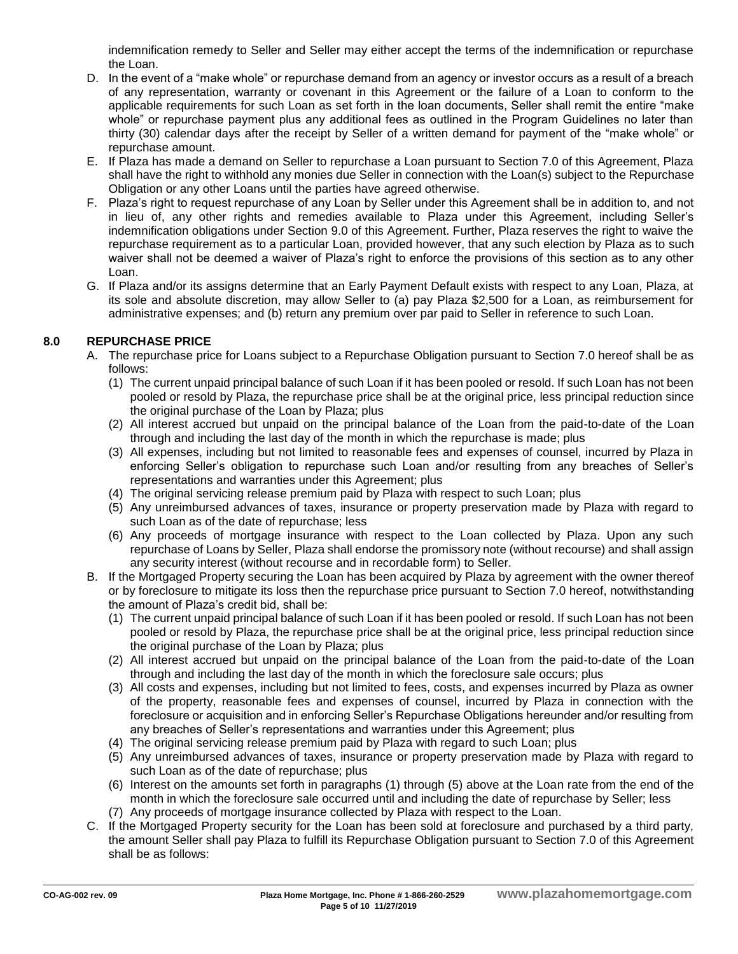indemnification remedy to Seller and Seller may either accept the terms of the indemnification or repurchase the Loan.

- D. In the event of a "make whole" or repurchase demand from an agency or investor occurs as a result of a breach of any representation, warranty or covenant in this Agreement or the failure of a Loan to conform to the applicable requirements for such Loan as set forth in the loan documents, Seller shall remit the entire "make whole" or repurchase payment plus any additional fees as outlined in the Program Guidelines no later than thirty (30) calendar days after the receipt by Seller of a written demand for payment of the "make whole" or repurchase amount.
- E. If Plaza has made a demand on Seller to repurchase a Loan pursuant to Section 7.0 of this Agreement, Plaza shall have the right to withhold any monies due Seller in connection with the Loan(s) subject to the Repurchase Obligation or any other Loans until the parties have agreed otherwise.
- F. Plaza's right to request repurchase of any Loan by Seller under this Agreement shall be in addition to, and not in lieu of, any other rights and remedies available to Plaza under this Agreement, including Seller's indemnification obligations under Section 9.0 of this Agreement. Further, Plaza reserves the right to waive the repurchase requirement as to a particular Loan, provided however, that any such election by Plaza as to such waiver shall not be deemed a waiver of Plaza's right to enforce the provisions of this section as to any other Loan.
- G. If Plaza and/or its assigns determine that an Early Payment Default exists with respect to any Loan, Plaza, at its sole and absolute discretion, may allow Seller to (a) pay Plaza \$2,500 for a Loan, as reimbursement for administrative expenses; and (b) return any premium over par paid to Seller in reference to such Loan.

## **8.0 REPURCHASE PRICE**

- A. The repurchase price for Loans subject to a Repurchase Obligation pursuant to Section 7.0 hereof shall be as follows:
	- (1) The current unpaid principal balance of such Loan if it has been pooled or resold. If such Loan has not been pooled or resold by Plaza, the repurchase price shall be at the original price, less principal reduction since the original purchase of the Loan by Plaza; plus
	- (2) All interest accrued but unpaid on the principal balance of the Loan from the paid-to-date of the Loan through and including the last day of the month in which the repurchase is made; plus
	- (3) All expenses, including but not limited to reasonable fees and expenses of counsel, incurred by Plaza in enforcing Seller's obligation to repurchase such Loan and/or resulting from any breaches of Seller's representations and warranties under this Agreement; plus
	- (4) The original servicing release premium paid by Plaza with respect to such Loan; plus
	- (5) Any unreimbursed advances of taxes, insurance or property preservation made by Plaza with regard to such Loan as of the date of repurchase; less
	- (6) Any proceeds of mortgage insurance with respect to the Loan collected by Plaza. Upon any such repurchase of Loans by Seller, Plaza shall endorse the promissory note (without recourse) and shall assign any security interest (without recourse and in recordable form) to Seller.
- B. If the Mortgaged Property securing the Loan has been acquired by Plaza by agreement with the owner thereof or by foreclosure to mitigate its loss then the repurchase price pursuant to Section 7.0 hereof, notwithstanding the amount of Plaza's credit bid, shall be:
	- (1) The current unpaid principal balance of such Loan if it has been pooled or resold. If such Loan has not been pooled or resold by Plaza, the repurchase price shall be at the original price, less principal reduction since the original purchase of the Loan by Plaza; plus
	- (2) All interest accrued but unpaid on the principal balance of the Loan from the paid-to-date of the Loan through and including the last day of the month in which the foreclosure sale occurs; plus
	- (3) All costs and expenses, including but not limited to fees, costs, and expenses incurred by Plaza as owner of the property, reasonable fees and expenses of counsel, incurred by Plaza in connection with the foreclosure or acquisition and in enforcing Seller's Repurchase Obligations hereunder and/or resulting from any breaches of Seller's representations and warranties under this Agreement; plus
	- (4) The original servicing release premium paid by Plaza with regard to such Loan; plus
	- (5) Any unreimbursed advances of taxes, insurance or property preservation made by Plaza with regard to such Loan as of the date of repurchase; plus
	- (6) Interest on the amounts set forth in paragraphs (1) through (5) above at the Loan rate from the end of the month in which the foreclosure sale occurred until and including the date of repurchase by Seller; less
	- (7) Any proceeds of mortgage insurance collected by Plaza with respect to the Loan.
- C. If the Mortgaged Property security for the Loan has been sold at foreclosure and purchased by a third party, the amount Seller shall pay Plaza to fulfill its Repurchase Obligation pursuant to Section 7.0 of this Agreement shall be as follows: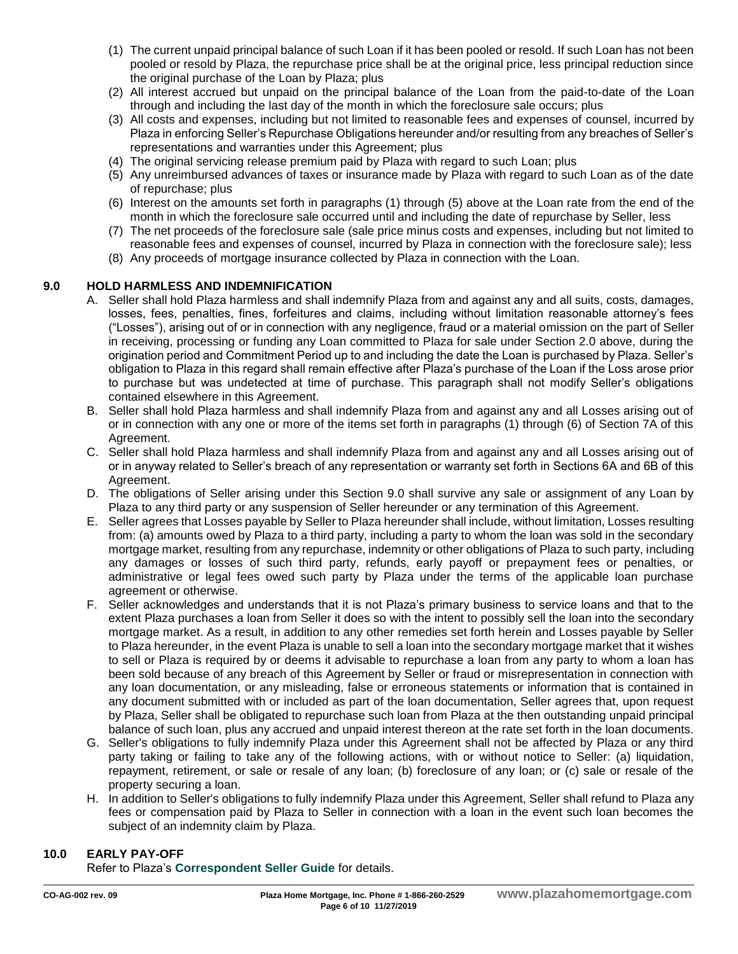- (1) The current unpaid principal balance of such Loan if it has been pooled or resold. If such Loan has not been pooled or resold by Plaza, the repurchase price shall be at the original price, less principal reduction since the original purchase of the Loan by Plaza; plus
- (2) All interest accrued but unpaid on the principal balance of the Loan from the paid-to-date of the Loan through and including the last day of the month in which the foreclosure sale occurs; plus
- (3) All costs and expenses, including but not limited to reasonable fees and expenses of counsel, incurred by Plaza in enforcing Seller's Repurchase Obligations hereunder and/or resulting from any breaches of Seller's representations and warranties under this Agreement; plus
- (4) The original servicing release premium paid by Plaza with regard to such Loan; plus
- (5) Any unreimbursed advances of taxes or insurance made by Plaza with regard to such Loan as of the date of repurchase; plus
- (6) Interest on the amounts set forth in paragraphs (1) through (5) above at the Loan rate from the end of the month in which the foreclosure sale occurred until and including the date of repurchase by Seller, less
- (7) The net proceeds of the foreclosure sale (sale price minus costs and expenses, including but not limited to reasonable fees and expenses of counsel, incurred by Plaza in connection with the foreclosure sale); less
- (8) Any proceeds of mortgage insurance collected by Plaza in connection with the Loan.

## **9.0 HOLD HARMLESS AND INDEMNIFICATION**

- A. Seller shall hold Plaza harmless and shall indemnify Plaza from and against any and all suits, costs, damages, losses, fees, penalties, fines, forfeitures and claims, including without limitation reasonable attorney's fees ("Losses"), arising out of or in connection with any negligence, fraud or a material omission on the part of Seller in receiving, processing or funding any Loan committed to Plaza for sale under Section 2.0 above, during the origination period and Commitment Period up to and including the date the Loan is purchased by Plaza. Seller's obligation to Plaza in this regard shall remain effective after Plaza's purchase of the Loan if the Loss arose prior to purchase but was undetected at time of purchase. This paragraph shall not modify Seller's obligations contained elsewhere in this Agreement.
- B. Seller shall hold Plaza harmless and shall indemnify Plaza from and against any and all Losses arising out of or in connection with any one or more of the items set forth in paragraphs (1) through (6) of Section 7A of this Agreement.
- C. Seller shall hold Plaza harmless and shall indemnify Plaza from and against any and all Losses arising out of or in anyway related to Seller's breach of any representation or warranty set forth in Sections 6A and 6B of this Agreement.
- D. The obligations of Seller arising under this Section 9.0 shall survive any sale or assignment of any Loan by Plaza to any third party or any suspension of Seller hereunder or any termination of this Agreement.
- E. Seller agrees that Losses payable by Seller to Plaza hereunder shall include, without limitation, Losses resulting from: (a) amounts owed by Plaza to a third party, including a party to whom the loan was sold in the secondary mortgage market, resulting from any repurchase, indemnity or other obligations of Plaza to such party, including any damages or losses of such third party, refunds, early payoff or prepayment fees or penalties, or administrative or legal fees owed such party by Plaza under the terms of the applicable loan purchase agreement or otherwise.
- F. Seller acknowledges and understands that it is not Plaza's primary business to service loans and that to the extent Plaza purchases a loan from Seller it does so with the intent to possibly sell the loan into the secondary mortgage market. As a result, in addition to any other remedies set forth herein and Losses payable by Seller to Plaza hereunder, in the event Plaza is unable to sell a loan into the secondary mortgage market that it wishes to sell or Plaza is required by or deems it advisable to repurchase a loan from any party to whom a loan has been sold because of any breach of this Agreement by Seller or fraud or misrepresentation in connection with any loan documentation, or any misleading, false or erroneous statements or information that is contained in any document submitted with or included as part of the loan documentation, Seller agrees that, upon request by Plaza, Seller shall be obligated to repurchase such loan from Plaza at the then outstanding unpaid principal balance of such loan, plus any accrued and unpaid interest thereon at the rate set forth in the loan documents.
- G. Seller's obligations to fully indemnify Plaza under this Agreement shall not be affected by Plaza or any third party taking or failing to take any of the following actions, with or without notice to Seller: (a) liquidation, repayment, retirement, or sale or resale of any loan; (b) foreclosure of any loan; or (c) sale or resale of the property securing a loan.
- H. In addition to Seller's obligations to fully indemnify Plaza under this Agreement, Seller shall refund to Plaza any fees or compensation paid by Plaza to Seller in connection with a loan in the event such loan becomes the subject of an indemnity claim by Plaza.

# **10.0 EARLY PAY-OFF**

Refer to Plaza's **[Correspondent Seller Guide](http://resourcecenter.plazahomemortgage.com/phmidocpublisher.nsf/All/4155C966099EF444072579B900534695?OpenDocument)** for details.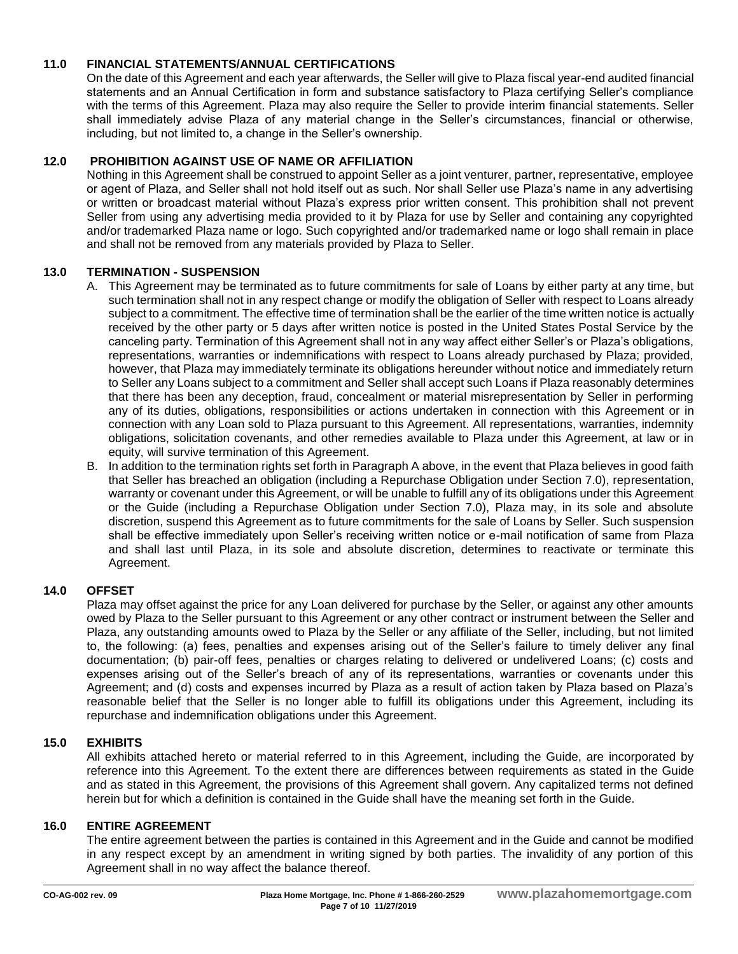## **11.0 FINANCIAL STATEMENTS/ANNUAL CERTIFICATIONS**

On the date of this Agreement and each year afterwards, the Seller will give to Plaza fiscal year-end audited financial statements and an Annual Certification in form and substance satisfactory to Plaza certifying Seller's compliance with the terms of this Agreement. Plaza may also require the Seller to provide interim financial statements. Seller shall immediately advise Plaza of any material change in the Seller's circumstances, financial or otherwise, including, but not limited to, a change in the Seller's ownership.

## **12.0 PROHIBITION AGAINST USE OF NAME OR AFFILIATION**

Nothing in this Agreement shall be construed to appoint Seller as a joint venturer, partner, representative, employee or agent of Plaza, and Seller shall not hold itself out as such. Nor shall Seller use Plaza's name in any advertising or written or broadcast material without Plaza's express prior written consent. This prohibition shall not prevent Seller from using any advertising media provided to it by Plaza for use by Seller and containing any copyrighted and/or trademarked Plaza name or logo. Such copyrighted and/or trademarked name or logo shall remain in place and shall not be removed from any materials provided by Plaza to Seller.

## **13.0 TERMINATION - SUSPENSION**

- A. This Agreement may be terminated as to future commitments for sale of Loans by either party at any time, but such termination shall not in any respect change or modify the obligation of Seller with respect to Loans already subject to a commitment. The effective time of termination shall be the earlier of the time written notice is actually received by the other party or 5 days after written notice is posted in the United States Postal Service by the canceling party. Termination of this Agreement shall not in any way affect either Seller's or Plaza's obligations, representations, warranties or indemnifications with respect to Loans already purchased by Plaza; provided, however, that Plaza may immediately terminate its obligations hereunder without notice and immediately return to Seller any Loans subject to a commitment and Seller shall accept such Loans if Plaza reasonably determines that there has been any deception, fraud, concealment or material misrepresentation by Seller in performing any of its duties, obligations, responsibilities or actions undertaken in connection with this Agreement or in connection with any Loan sold to Plaza pursuant to this Agreement. All representations, warranties, indemnity obligations, solicitation covenants, and other remedies available to Plaza under this Agreement, at law or in equity, will survive termination of this Agreement.
- B. In addition to the termination rights set forth in Paragraph A above, in the event that Plaza believes in good faith that Seller has breached an obligation (including a Repurchase Obligation under Section 7.0), representation, warranty or covenant under this Agreement, or will be unable to fulfill any of its obligations under this Agreement or the Guide (including a Repurchase Obligation under Section 7.0), Plaza may, in its sole and absolute discretion, suspend this Agreement as to future commitments for the sale of Loans by Seller. Such suspension shall be effective immediately upon Seller's receiving written notice or e-mail notification of same from Plaza and shall last until Plaza, in its sole and absolute discretion, determines to reactivate or terminate this Agreement.

## **14.0 OFFSET**

Plaza may offset against the price for any Loan delivered for purchase by the Seller, or against any other amounts owed by Plaza to the Seller pursuant to this Agreement or any other contract or instrument between the Seller and Plaza, any outstanding amounts owed to Plaza by the Seller or any affiliate of the Seller, including, but not limited to, the following: (a) fees, penalties and expenses arising out of the Seller's failure to timely deliver any final documentation; (b) pair-off fees, penalties or charges relating to delivered or undelivered Loans; (c) costs and expenses arising out of the Seller's breach of any of its representations, warranties or covenants under this Agreement; and (d) costs and expenses incurred by Plaza as a result of action taken by Plaza based on Plaza's reasonable belief that the Seller is no longer able to fulfill its obligations under this Agreement, including its repurchase and indemnification obligations under this Agreement.

## **15.0 EXHIBITS**

All exhibits attached hereto or material referred to in this Agreement, including the Guide, are incorporated by reference into this Agreement. To the extent there are differences between requirements as stated in the Guide and as stated in this Agreement, the provisions of this Agreement shall govern. Any capitalized terms not defined herein but for which a definition is contained in the Guide shall have the meaning set forth in the Guide.

#### **16.0 ENTIRE AGREEMENT**

The entire agreement between the parties is contained in this Agreement and in the Guide and cannot be modified in any respect except by an amendment in writing signed by both parties. The invalidity of any portion of this Agreement shall in no way affect the balance thereof.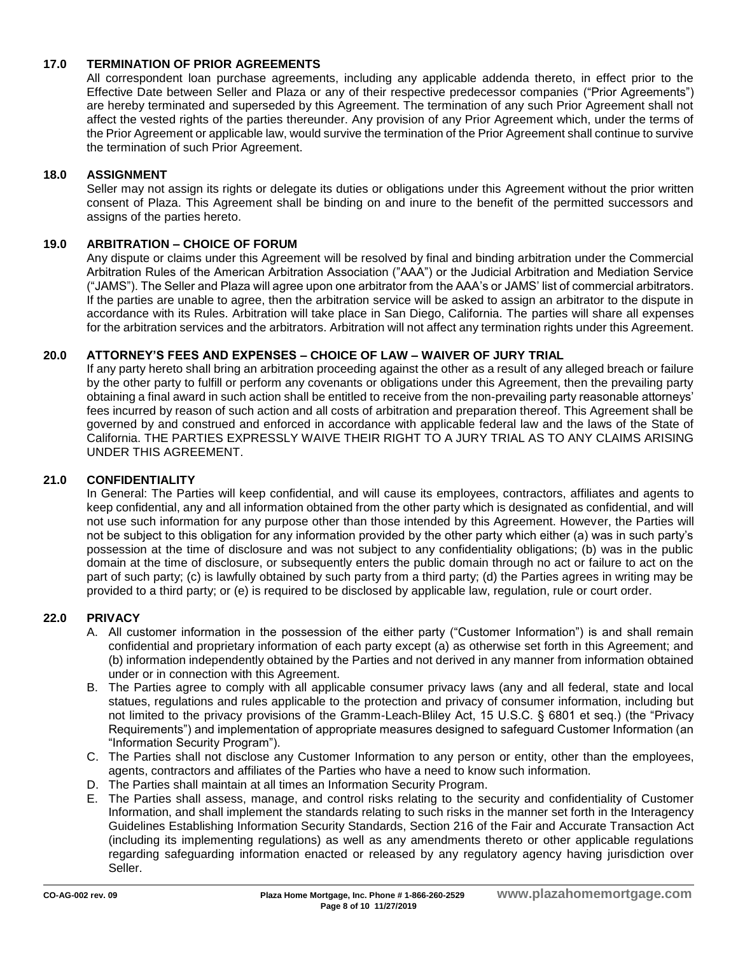## **17.0 TERMINATION OF PRIOR AGREEMENTS**

All correspondent loan purchase agreements, including any applicable addenda thereto, in effect prior to the Effective Date between Seller and Plaza or any of their respective predecessor companies ("Prior Agreements") are hereby terminated and superseded by this Agreement. The termination of any such Prior Agreement shall not affect the vested rights of the parties thereunder. Any provision of any Prior Agreement which, under the terms of the Prior Agreement or applicable law, would survive the termination of the Prior Agreement shall continue to survive the termination of such Prior Agreement.

#### **18.0 ASSIGNMENT**

Seller may not assign its rights or delegate its duties or obligations under this Agreement without the prior written consent of Plaza. This Agreement shall be binding on and inure to the benefit of the permitted successors and assigns of the parties hereto.

## **19.0 ARBITRATION – CHOICE OF FORUM**

Any dispute or claims under this Agreement will be resolved by final and binding arbitration under the Commercial Arbitration Rules of the American Arbitration Association ("AAA") or the Judicial Arbitration and Mediation Service ("JAMS"). The Seller and Plaza will agree upon one arbitrator from the AAA's or JAMS' list of commercial arbitrators. If the parties are unable to agree, then the arbitration service will be asked to assign an arbitrator to the dispute in accordance with its Rules. Arbitration will take place in San Diego, California. The parties will share all expenses for the arbitration services and the arbitrators. Arbitration will not affect any termination rights under this Agreement.

## **20.0 ATTORNEY'S FEES AND EXPENSES – CHOICE OF LAW – WAIVER OF JURY TRIAL**

If any party hereto shall bring an arbitration proceeding against the other as a result of any alleged breach or failure by the other party to fulfill or perform any covenants or obligations under this Agreement, then the prevailing party obtaining a final award in such action shall be entitled to receive from the non-prevailing party reasonable attorneys' fees incurred by reason of such action and all costs of arbitration and preparation thereof. This Agreement shall be governed by and construed and enforced in accordance with applicable federal law and the laws of the State of California. THE PARTIES EXPRESSLY WAIVE THEIR RIGHT TO A JURY TRIAL AS TO ANY CLAIMS ARISING UNDER THIS AGREEMENT.

#### **21.0 CONFIDENTIALITY**

In General: The Parties will keep confidential, and will cause its employees, contractors, affiliates and agents to keep confidential, any and all information obtained from the other party which is designated as confidential, and will not use such information for any purpose other than those intended by this Agreement. However, the Parties will not be subject to this obligation for any information provided by the other party which either (a) was in such party's possession at the time of disclosure and was not subject to any confidentiality obligations; (b) was in the public domain at the time of disclosure, or subsequently enters the public domain through no act or failure to act on the part of such party; (c) is lawfully obtained by such party from a third party; (d) the Parties agrees in writing may be provided to a third party; or (e) is required to be disclosed by applicable law, regulation, rule or court order.

#### **22.0 PRIVACY**

- A. All customer information in the possession of the either party ("Customer Information") is and shall remain confidential and proprietary information of each party except (a) as otherwise set forth in this Agreement; and (b) information independently obtained by the Parties and not derived in any manner from information obtained under or in connection with this Agreement.
- B. The Parties agree to comply with all applicable consumer privacy laws (any and all federal, state and local statues, regulations and rules applicable to the protection and privacy of consumer information, including but not limited to the privacy provisions of the Gramm-Leach-Bliley Act, 15 U.S.C. § 6801 et seq.) (the "Privacy Requirements") and implementation of appropriate measures designed to safeguard Customer Information (an "Information Security Program").
- C. The Parties shall not disclose any Customer Information to any person or entity, other than the employees, agents, contractors and affiliates of the Parties who have a need to know such information.
- D. The Parties shall maintain at all times an Information Security Program.
- E. The Parties shall assess, manage, and control risks relating to the security and confidentiality of Customer Information, and shall implement the standards relating to such risks in the manner set forth in the Interagency Guidelines Establishing Information Security Standards, Section 216 of the Fair and Accurate Transaction Act (including its implementing regulations) as well as any amendments thereto or other applicable regulations regarding safeguarding information enacted or released by any regulatory agency having jurisdiction over Seller.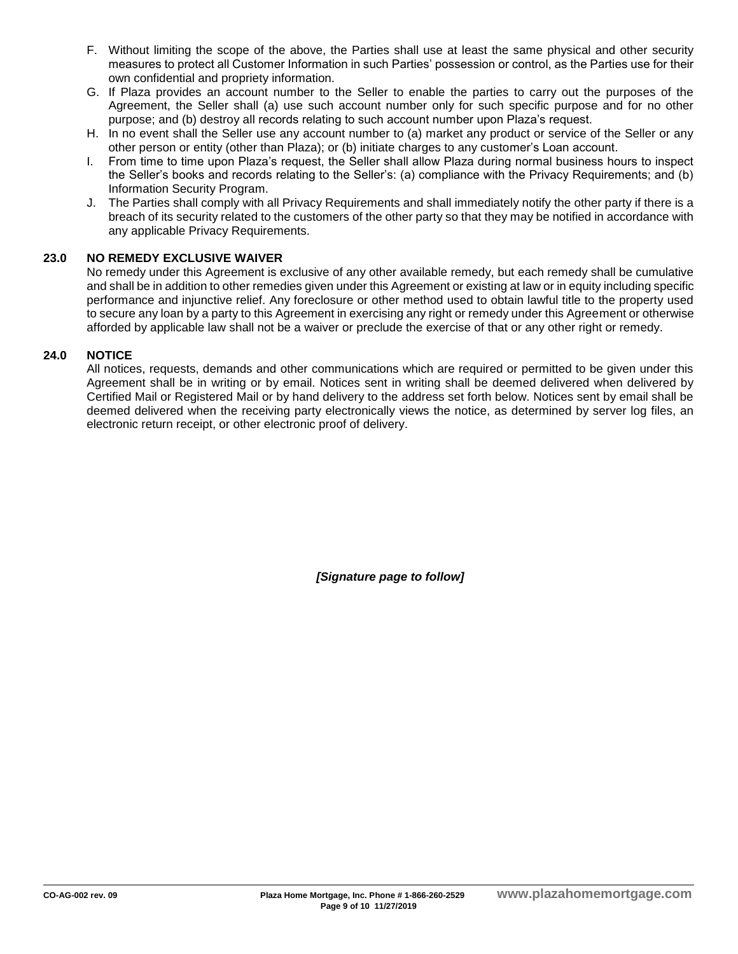- F. Without limiting the scope of the above, the Parties shall use at least the same physical and other security measures to protect all Customer Information in such Parties' possession or control, as the Parties use for their own confidential and propriety information.
- G. If Plaza provides an account number to the Seller to enable the parties to carry out the purposes of the Agreement, the Seller shall (a) use such account number only for such specific purpose and for no other purpose; and (b) destroy all records relating to such account number upon Plaza's request.
- H. In no event shall the Seller use any account number to (a) market any product or service of the Seller or any other person or entity (other than Plaza); or (b) initiate charges to any customer's Loan account.
- I. From time to time upon Plaza's request, the Seller shall allow Plaza during normal business hours to inspect the Seller's books and records relating to the Seller's: (a) compliance with the Privacy Requirements; and (b) Information Security Program.
- J. The Parties shall comply with all Privacy Requirements and shall immediately notify the other party if there is a breach of its security related to the customers of the other party so that they may be notified in accordance with any applicable Privacy Requirements.

## **23.0 NO REMEDY EXCLUSIVE WAIVER**

No remedy under this Agreement is exclusive of any other available remedy, but each remedy shall be cumulative and shall be in addition to other remedies given under this Agreement or existing at law or in equity including specific performance and injunctive relief. Any foreclosure or other method used to obtain lawful title to the property used to secure any loan by a party to this Agreement in exercising any right or remedy under this Agreement or otherwise afforded by applicable law shall not be a waiver or preclude the exercise of that or any other right or remedy.

## **24.0 NOTICE**

All notices, requests, demands and other communications which are required or permitted to be given under this Agreement shall be in writing or by email. Notices sent in writing shall be deemed delivered when delivered by Certified Mail or Registered Mail or by hand delivery to the address set forth below. Notices sent by email shall be deemed delivered when the receiving party electronically views the notice, as determined by server log files, an electronic return receipt, or other electronic proof of delivery.

*[Signature page to follow]*